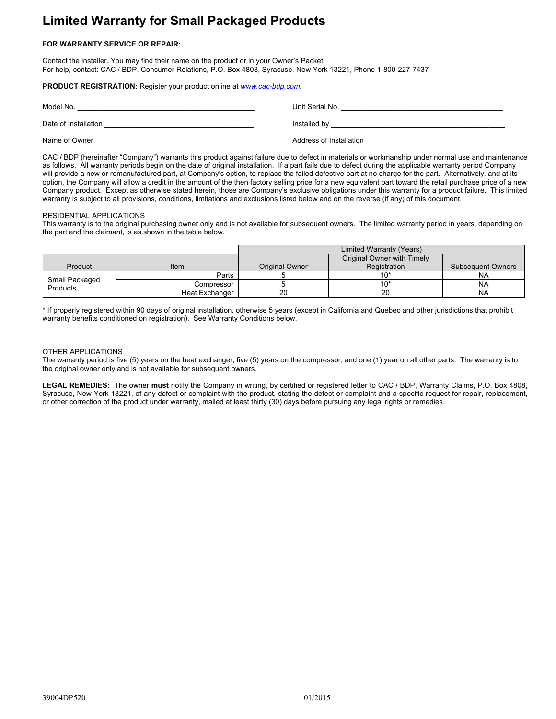# **Limited Warranty for Small Packaged Products**

## **FOR WARRANTY SERVICE OR REPAIR:**

Contact the installer. You may find their name on the product or in your Owner's Packet. For help, contact: CAC / BDP, Consumer Relations, P.O. Box 4808, Syracuse, New York 13221, Phone 1-800-227-7437

## **PRODUCT REGISTRATION:** Register your product online at *www.cac-bdp.com.*

| Model No.            | Unit Serial No.         |
|----------------------|-------------------------|
| Date of Installation | Installed by            |
| Name of Owner        | Address of Installation |

CAC / BDP (hereinafter "Company") warrants this product against failure due to defect in materials or workmanship under normal use and maintenance as follows. All warranty periods begin on the date of original installation. If a part fails due to defect during the applicable warranty period Company will provide a new or remanufactured part, at Company's option, to replace the failed defective part at no charge for the part. Alternatively, and at its option, the Company will allow a credit in the amount of the then factory selling price for a new equivalent part toward the retail purchase price of a new Company product. Except as otherwise stated herein, those are Company's exclusive obligations under this warranty for a product failure. This limited warranty is subject to all provisions, conditions, limitations and exclusions listed below and on the reverse (if any) of this document.

#### RESIDENTIAL APPLICATIONS

This warranty is to the original purchasing owner only and is not available for subsequent owners. The limited warranty period in years, depending on the part and the claimant, is as shown in the table below.

|                            |                | Limited Warranty (Years) |                            |                          |
|----------------------------|----------------|--------------------------|----------------------------|--------------------------|
|                            |                |                          | Original Owner with Timely |                          |
| Product                    | Item           | <b>Original Owner</b>    | Registration               | <b>Subsequent Owners</b> |
| Small Packaged<br>Products | Parts          |                          | 10'                        | N۵                       |
|                            | Compressor     |                          | 10'                        | N۵                       |
|                            | Heat Exchanger | 20                       | 20                         | NA                       |

\* If properly registered within 90 days of original installation, otherwise 5 years (except in California and Quebec and other jurisdictions that prohibit warranty benefits conditioned on registration). See Warranty Conditions below.

#### OTHER APPLICATIONS

The warranty period is five (5) years on the heat exchanger, five (5) years on the compressor, and one (1) year on all other parts. The warranty is to the original owner only and is not available for subsequent owners.

**LEGAL REMEDIES:** The owner **must** notify the Company in writing, by certified or registered letter to CAC / BDP, Warranty Claims, P.O. Box 4808, Syracuse, New York 13221, of any defect or complaint with the product, stating the defect or complaint and a specific request for repair, replacement, or other correction of the product under warranty, mailed at least thirty (30) days before pursuing any legal rights or remedies.